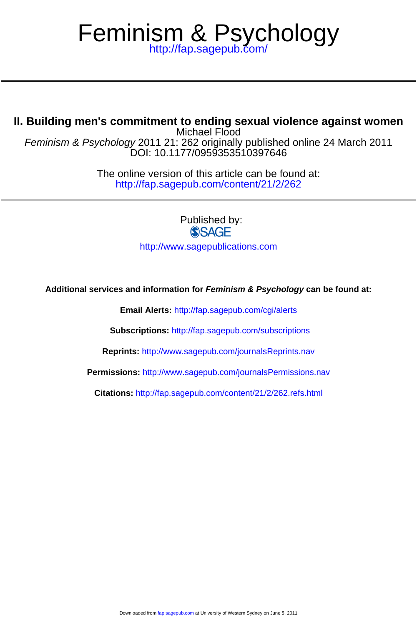## <http://fap.sagepub.com/> Feminism & Psychology

### **II. Building men's commitment to ending sexual violence against women**

DOI: 10.1177/0959353510397646 Feminism & Psychology 2011 21: 262 originally published online 24 March 2011 Michael Flood

> <http://fap.sagepub.com/content/21/2/262> The online version of this article can be found at:

> > Published by:<br>
> > SAGE <http://www.sagepublications.com>

### **Additional services and information for Feminism & Psychology can be found at:**

**Email Alerts:** <http://fap.sagepub.com/cgi/alerts>

**Subscriptions:** <http://fap.sagepub.com/subscriptions>

**Reprints:** <http://www.sagepub.com/journalsReprints.nav>

**Permissions:** <http://www.sagepub.com/journalsPermissions.nav>

**Citations:** <http://fap.sagepub.com/content/21/2/262.refs.html>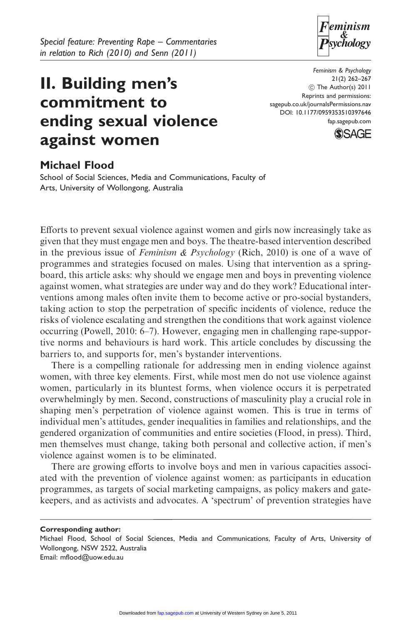

# II. Building men's commitment to ending sexual violence against women

Feminism & Psychology 21(2) 262–267 ! The Author(s) 2011 Reprints and permissions: sagepub.co.uk/journalsPermissions.nav DOI: 10.1177/0959353510397646 fap.sagepub.com



### Michael Flood

School of Social Sciences, Media and Communications, Faculty of Arts, University of Wollongong, Australia

Efforts to prevent sexual violence against women and girls now increasingly take as given that they must engage men and boys. The theatre-based intervention described in the previous issue of Feminism & Psychology (Rich, 2010) is one of a wave of programmes and strategies focused on males. Using that intervention as a springboard, this article asks: why should we engage men and boys in preventing violence against women, what strategies are under way and do they work? Educational interventions among males often invite them to become active or pro-social bystanders, taking action to stop the perpetration of specific incidents of violence, reduce the risks of violence escalating and strengthen the conditions that work against violence occurring (Powell, 2010: 6–7). However, engaging men in challenging rape-supportive norms and behaviours is hard work. This article concludes by discussing the barriers to, and supports for, men's bystander interventions.

There is a compelling rationale for addressing men in ending violence against women, with three key elements. First, while most men do not use violence against women, particularly in its bluntest forms, when violence occurs it is perpetrated overwhelmingly by men. Second, constructions of masculinity play a crucial role in shaping men's perpetration of violence against women. This is true in terms of individual men's attitudes, gender inequalities in families and relationships, and the gendered organization of communities and entire societies (Flood, in press). Third, men themselves must change, taking both personal and collective action, if men's violence against women is to be eliminated.

There are growing efforts to involve boys and men in various capacities associated with the prevention of violence against women: as participants in education programmes, as targets of social marketing campaigns, as policy makers and gatekeepers, and as activists and advocates. A 'spectrum' of prevention strategies have

Corresponding author:

Michael Flood, School of Social Sciences, Media and Communications, Faculty of Arts, University of Wollongong, NSW 2522, Australia Email: mflood@uow.edu.au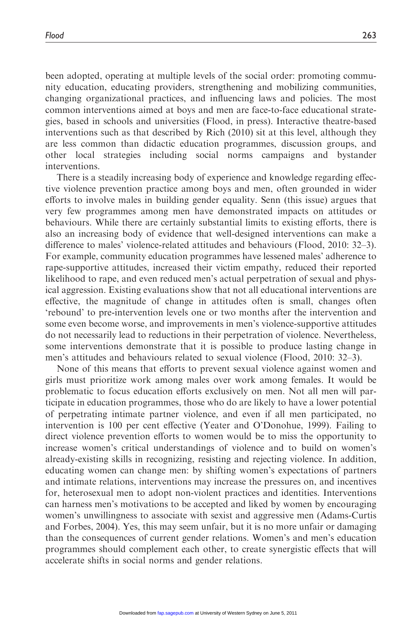been adopted, operating at multiple levels of the social order: promoting community education, educating providers, strengthening and mobilizing communities, changing organizational practices, and influencing laws and policies. The most common interventions aimed at boys and men are face-to-face educational strategies, based in schools and universities (Flood, in press). Interactive theatre-based interventions such as that described by Rich (2010) sit at this level, although they are less common than didactic education programmes, discussion groups, and other local strategies including social norms campaigns and bystander interventions.

There is a steadily increasing body of experience and knowledge regarding effective violence prevention practice among boys and men, often grounded in wider efforts to involve males in building gender equality. Senn (this issue) argues that very few programmes among men have demonstrated impacts on attitudes or behaviours. While there are certainly substantial limits to existing efforts, there is also an increasing body of evidence that well-designed interventions can make a difference to males' violence-related attitudes and behaviours (Flood, 2010: 32–3). For example, community education programmes have lessened males' adherence to rape-supportive attitudes, increased their victim empathy, reduced their reported likelihood to rape, and even reduced men's actual perpetration of sexual and physical aggression. Existing evaluations show that not all educational interventions are effective, the magnitude of change in attitudes often is small, changes often 'rebound' to pre-intervention levels one or two months after the intervention and some even become worse, and improvements in men's violence-supportive attitudes do not necessarily lead to reductions in their perpetration of violence. Nevertheless, some interventions demonstrate that it is possible to produce lasting change in men's attitudes and behaviours related to sexual violence (Flood, 2010: 32–3).

None of this means that efforts to prevent sexual violence against women and girls must prioritize work among males over work among females. It would be problematic to focus education efforts exclusively on men. Not all men will participate in education programmes, those who do are likely to have a lower potential of perpetrating intimate partner violence, and even if all men participated, no intervention is 100 per cent effective (Yeater and O'Donohue, 1999). Failing to direct violence prevention efforts to women would be to miss the opportunity to increase women's critical understandings of violence and to build on women's already-existing skills in recognizing, resisting and rejecting violence. In addition, educating women can change men: by shifting women's expectations of partners and intimate relations, interventions may increase the pressures on, and incentives for, heterosexual men to adopt non-violent practices and identities. Interventions can harness men's motivations to be accepted and liked by women by encouraging women's unwillingness to associate with sexist and aggressive men (Adams-Curtis and Forbes, 2004). Yes, this may seem unfair, but it is no more unfair or damaging than the consequences of current gender relations. Women's and men's education programmes should complement each other, to create synergistic effects that will accelerate shifts in social norms and gender relations.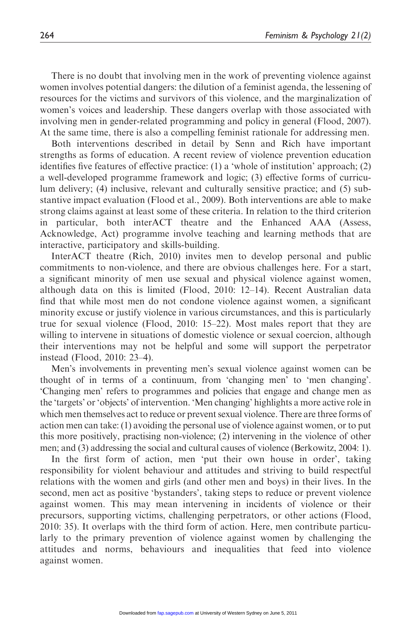There is no doubt that involving men in the work of preventing violence against women involves potential dangers: the dilution of a feminist agenda, the lessening of resources for the victims and survivors of this violence, and the marginalization of women's voices and leadership. These dangers overlap with those associated with involving men in gender-related programming and policy in general (Flood, 2007). At the same time, there is also a compelling feminist rationale for addressing men.

Both interventions described in detail by Senn and Rich have important strengths as forms of education. A recent review of violence prevention education identifies five features of effective practice: (1) a 'whole of institution' approach; (2) a well-developed programme framework and logic; (3) effective forms of curriculum delivery; (4) inclusive, relevant and culturally sensitive practice; and (5) substantive impact evaluation (Flood et al., 2009). Both interventions are able to make strong claims against at least some of these criteria. In relation to the third criterion in particular, both interACT theatre and the Enhanced AAA (Assess, Acknowledge, Act) programme involve teaching and learning methods that are interactive, participatory and skills-building.

InterACT theatre (Rich, 2010) invites men to develop personal and public commitments to non-violence, and there are obvious challenges here. For a start, a significant minority of men use sexual and physical violence against women, although data on this is limited (Flood, 2010: 12–14). Recent Australian data find that while most men do not condone violence against women, a significant minority excuse or justify violence in various circumstances, and this is particularly true for sexual violence (Flood, 2010: 15–22). Most males report that they are willing to intervene in situations of domestic violence or sexual coercion, although their interventions may not be helpful and some will support the perpetrator instead (Flood, 2010: 23–4).

Men's involvements in preventing men's sexual violence against women can be thought of in terms of a continuum, from 'changing men' to 'men changing'. 'Changing men' refers to programmes and policies that engage and change men as the 'targets' or 'objects' of intervention. 'Men changing' highlights a more active role in which men themselves act to reduce or prevent sexual violence. There are three forms of action men can take: (1) avoiding the personal use of violence against women, or to put this more positively, practising non-violence; (2) intervening in the violence of other men; and (3) addressing the social and cultural causes of violence (Berkowitz, 2004: 1).

In the first form of action, men 'put their own house in order', taking responsibility for violent behaviour and attitudes and striving to build respectful relations with the women and girls (and other men and boys) in their lives. In the second, men act as positive 'bystanders', taking steps to reduce or prevent violence against women. This may mean intervening in incidents of violence or their precursors, supporting victims, challenging perpetrators, or other actions (Flood, 2010: 35). It overlaps with the third form of action. Here, men contribute particularly to the primary prevention of violence against women by challenging the attitudes and norms, behaviours and inequalities that feed into violence against women.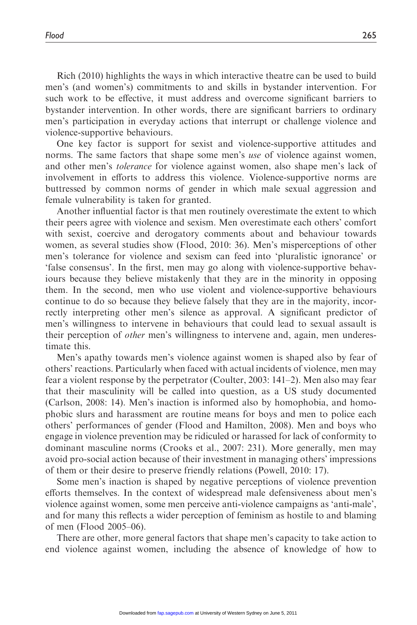Rich (2010) highlights the ways in which interactive theatre can be used to build men's (and women's) commitments to and skills in bystander intervention. For such work to be effective, it must address and overcome significant barriers to bystander intervention. In other words, there are significant barriers to ordinary men's participation in everyday actions that interrupt or challenge violence and violence-supportive behaviours.

One key factor is support for sexist and violence-supportive attitudes and norms. The same factors that shape some men's use of violence against women, and other men's tolerance for violence against women, also shape men's lack of involvement in efforts to address this violence. Violence-supportive norms are buttressed by common norms of gender in which male sexual aggression and female vulnerability is taken for granted.

Another influential factor is that men routinely overestimate the extent to which their peers agree with violence and sexism. Men overestimate each others' comfort with sexist, coercive and derogatory comments about and behaviour towards women, as several studies show (Flood, 2010: 36). Men's misperceptions of other men's tolerance for violence and sexism can feed into 'pluralistic ignorance' or 'false consensus'. In the first, men may go along with violence-supportive behaviours because they believe mistakenly that they are in the minority in opposing them. In the second, men who use violent and violence-supportive behaviours continue to do so because they believe falsely that they are in the majority, incorrectly interpreting other men's silence as approval. A significant predictor of men's willingness to intervene in behaviours that could lead to sexual assault is their perception of other men's willingness to intervene and, again, men underestimate this.

Men's apathy towards men's violence against women is shaped also by fear of others' reactions. Particularly when faced with actual incidents of violence, men may fear a violent response by the perpetrator (Coulter, 2003: 141–2). Men also may fear that their masculinity will be called into question, as a US study documented (Carlson, 2008: 14). Men's inaction is informed also by homophobia, and homophobic slurs and harassment are routine means for boys and men to police each others' performances of gender (Flood and Hamilton, 2008). Men and boys who engage in violence prevention may be ridiculed or harassed for lack of conformity to dominant masculine norms (Crooks et al., 2007: 231). More generally, men may avoid pro-social action because of their investment in managing others' impressions of them or their desire to preserve friendly relations (Powell, 2010: 17).

Some men's inaction is shaped by negative perceptions of violence prevention efforts themselves. In the context of widespread male defensiveness about men's violence against women, some men perceive anti-violence campaigns as 'anti-male', and for many this reflects a wider perception of feminism as hostile to and blaming of men (Flood 2005–06).

There are other, more general factors that shape men's capacity to take action to end violence against women, including the absence of knowledge of how to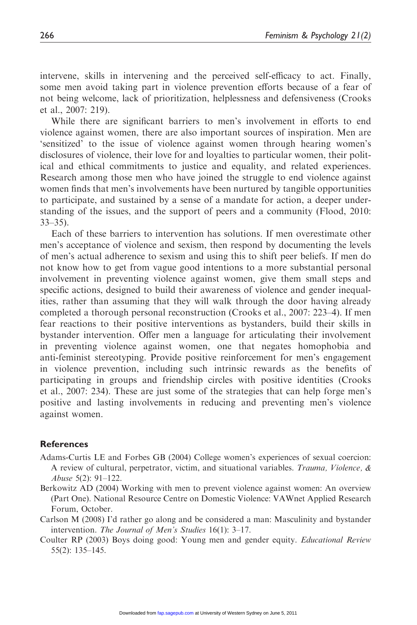intervene, skills in intervening and the perceived self-efficacy to act. Finally, some men avoid taking part in violence prevention efforts because of a fear of not being welcome, lack of prioritization, helplessness and defensiveness (Crooks et al., 2007: 219).

While there are significant barriers to men's involvement in efforts to end violence against women, there are also important sources of inspiration. Men are 'sensitized' to the issue of violence against women through hearing women's disclosures of violence, their love for and loyalties to particular women, their political and ethical commitments to justice and equality, and related experiences. Research among those men who have joined the struggle to end violence against women finds that men's involvements have been nurtured by tangible opportunities to participate, and sustained by a sense of a mandate for action, a deeper understanding of the issues, and the support of peers and a community (Flood, 2010: 33–35).

Each of these barriers to intervention has solutions. If men overestimate other men's acceptance of violence and sexism, then respond by documenting the levels of men's actual adherence to sexism and using this to shift peer beliefs. If men do not know how to get from vague good intentions to a more substantial personal involvement in preventing violence against women, give them small steps and specific actions, designed to build their awareness of violence and gender inequalities, rather than assuming that they will walk through the door having already completed a thorough personal reconstruction (Crooks et al., 2007: 223–4). If men fear reactions to their positive interventions as bystanders, build their skills in bystander intervention. Offer men a language for articulating their involvement in preventing violence against women, one that negates homophobia and anti-feminist stereotyping. Provide positive reinforcement for men's engagement in violence prevention, including such intrinsic rewards as the benefits of participating in groups and friendship circles with positive identities (Crooks et al., 2007: 234). These are just some of the strategies that can help forge men's positive and lasting involvements in reducing and preventing men's violence against women.

#### **References**

- Adams-Curtis LE and Forbes GB (2004) College women's experiences of sexual coercion: A review of cultural, perpetrator, victim, and situational variables. Trauma, Violence, & Abuse 5(2): 91–122.
- Berkowitz AD (2004) Working with men to prevent violence against women: An overview (Part One). National Resource Centre on Domestic Violence: VAWnet Applied Research Forum, October.
- Carlson M (2008) I'd rather go along and be considered a man: Masculinity and bystander intervention. The Journal of Men's Studies 16(1): 3–17.
- Coulter RP (2003) Boys doing good: Young men and gender equity. Educational Review 55(2): 135–145.